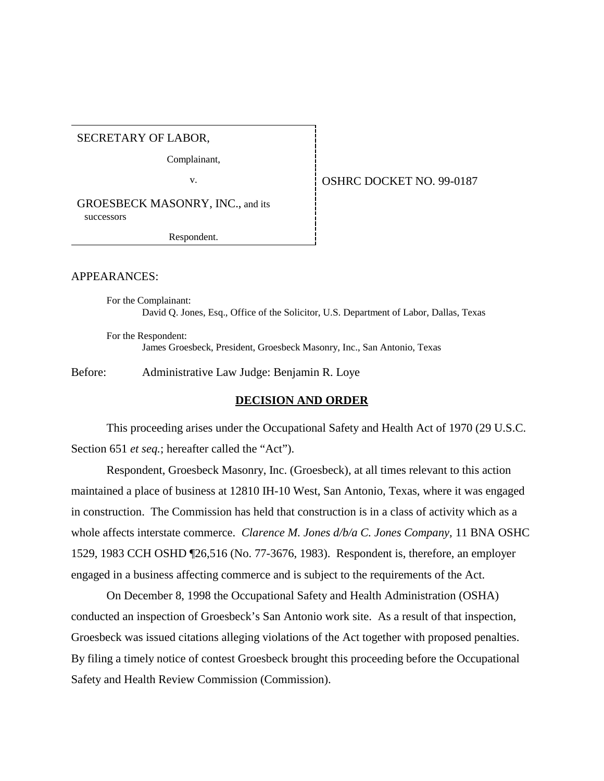SECRETARY OF LABOR,

Complainant,

v. Same COSHRC DOCKET NO. 99-0187

GROESBECK MASONRY, INC., and its successors

Respondent.

# APPEARANCES:

For the Complainant: David Q. Jones, Esq., Office of the Solicitor, U.S. Department of Labor, Dallas, Texas

For the Respondent: James Groesbeck, President, Groesbeck Masonry, Inc., San Antonio, Texas

Before: Administrative Law Judge: Benjamin R. Loye

#### **DECISION AND ORDER**

This proceeding arises under the Occupational Safety and Health Act of 1970 (29 U.S.C. Section 651 *et seq.*; hereafter called the "Act").

Respondent, Groesbeck Masonry, Inc. (Groesbeck), at all times relevant to this action maintained a place of business at 12810 IH-10 West, San Antonio, Texas, where it was engaged in construction. The Commission has held that construction is in a class of activity which as a whole affects interstate commerce. *Clarence M. Jones d/b/a C. Jones Company,* 11 BNA OSHC 1529, 1983 CCH OSHD ¶26,516 (No. 77-3676, 1983). Respondent is, therefore, an employer engaged in a business affecting commerce and is subject to the requirements of the Act.

On December 8, 1998 the Occupational Safety and Health Administration (OSHA) conducted an inspection of Groesbeck's San Antonio work site. As a result of that inspection, Groesbeck was issued citations alleging violations of the Act together with proposed penalties. By filing a timely notice of contest Groesbeck brought this proceeding before the Occupational Safety and Health Review Commission (Commission).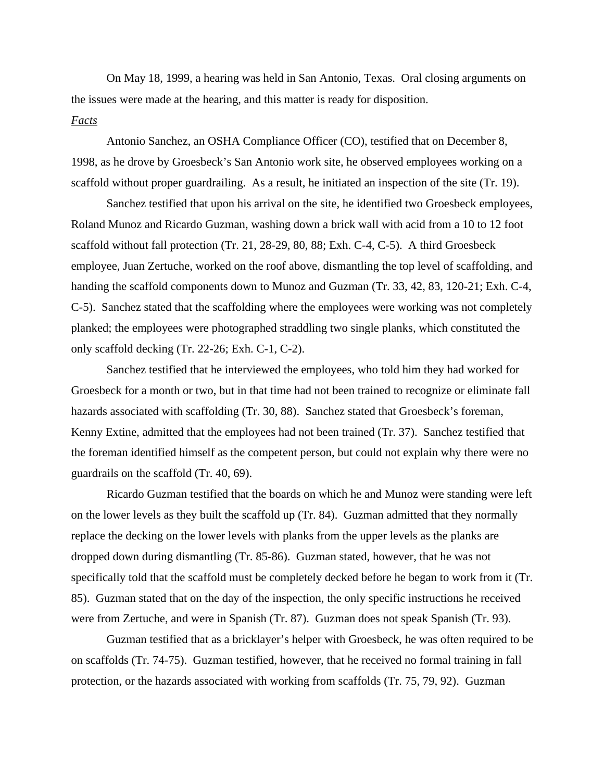On May 18, 1999, a hearing was held in San Antonio, Texas. Oral closing arguments on the issues were made at the hearing, and this matter is ready for disposition.

# *Facts*

Antonio Sanchez, an OSHA Compliance Officer (CO), testified that on December 8, 1998, as he drove by Groesbeck's San Antonio work site, he observed employees working on a scaffold without proper guardrailing. As a result, he initiated an inspection of the site (Tr. 19).

Sanchez testified that upon his arrival on the site, he identified two Groesbeck employees, Roland Munoz and Ricardo Guzman, washing down a brick wall with acid from a 10 to 12 foot scaffold without fall protection (Tr. 21, 28-29, 80, 88; Exh. C-4, C-5). A third Groesbeck employee, Juan Zertuche, worked on the roof above, dismantling the top level of scaffolding, and handing the scaffold components down to Munoz and Guzman (Tr. 33, 42, 83, 120-21; Exh. C-4, C-5). Sanchez stated that the scaffolding where the employees were working was not completely planked; the employees were photographed straddling two single planks, which constituted the only scaffold decking (Tr. 22-26; Exh. C-1, C-2).

Sanchez testified that he interviewed the employees, who told him they had worked for Groesbeck for a month or two, but in that time had not been trained to recognize or eliminate fall hazards associated with scaffolding (Tr. 30, 88). Sanchez stated that Groesbeck's foreman, Kenny Extine, admitted that the employees had not been trained (Tr. 37). Sanchez testified that the foreman identified himself as the competent person, but could not explain why there were no guardrails on the scaffold (Tr. 40, 69).

Ricardo Guzman testified that the boards on which he and Munoz were standing were left on the lower levels as they built the scaffold up (Tr. 84). Guzman admitted that they normally replace the decking on the lower levels with planks from the upper levels as the planks are dropped down during dismantling (Tr. 85-86). Guzman stated, however, that he was not specifically told that the scaffold must be completely decked before he began to work from it (Tr. 85). Guzman stated that on the day of the inspection, the only specific instructions he received were from Zertuche, and were in Spanish (Tr. 87). Guzman does not speak Spanish (Tr. 93).

Guzman testified that as a bricklayer's helper with Groesbeck, he was often required to be on scaffolds (Tr. 74-75). Guzman testified, however, that he received no formal training in fall protection, or the hazards associated with working from scaffolds (Tr. 75, 79, 92). Guzman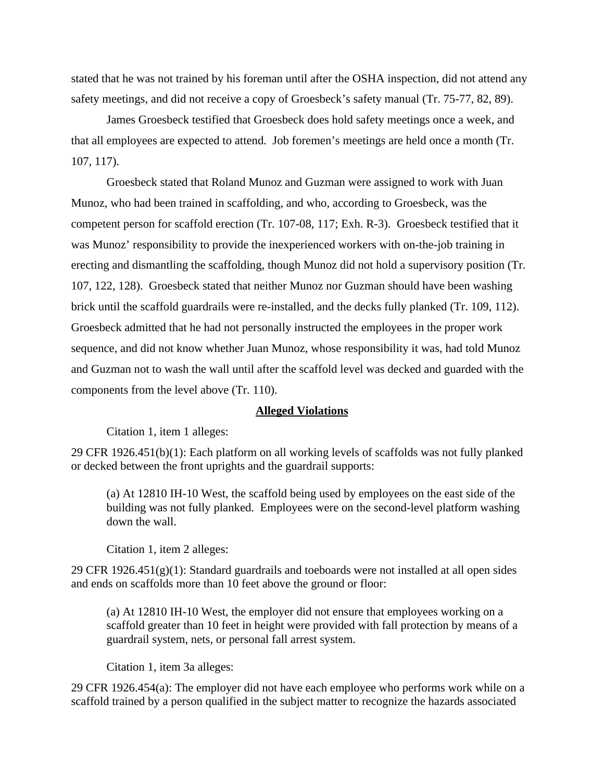stated that he was not trained by his foreman until after the OSHA inspection, did not attend any safety meetings, and did not receive a copy of Groesbeck's safety manual (Tr. 75-77, 82, 89).

James Groesbeck testified that Groesbeck does hold safety meetings once a week, and that all employees are expected to attend. Job foremen's meetings are held once a month (Tr. 107, 117).

Groesbeck stated that Roland Munoz and Guzman were assigned to work with Juan Munoz, who had been trained in scaffolding, and who, according to Groesbeck, was the competent person for scaffold erection (Tr. 107-08, 117; Exh. R-3). Groesbeck testified that it was Munoz' responsibility to provide the inexperienced workers with on-the-job training in erecting and dismantling the scaffolding, though Munoz did not hold a supervisory position (Tr. 107, 122, 128). Groesbeck stated that neither Munoz nor Guzman should have been washing brick until the scaffold guardrails were re-installed, and the decks fully planked (Tr. 109, 112). Groesbeck admitted that he had not personally instructed the employees in the proper work sequence, and did not know whether Juan Munoz, whose responsibility it was, had told Munoz and Guzman not to wash the wall until after the scaffold level was decked and guarded with the components from the level above (Tr. 110).

#### **Alleged Violations**

Citation 1, item 1 alleges:

29 CFR 1926.451(b)(1): Each platform on all working levels of scaffolds was not fully planked or decked between the front uprights and the guardrail supports:

(a) At 12810 IH-10 West, the scaffold being used by employees on the east side of the building was not fully planked. Employees were on the second-level platform washing down the wall.

Citation 1, item 2 alleges:

29 CFR 1926.451(g)(1): Standard guardrails and toeboards were not installed at all open sides and ends on scaffolds more than 10 feet above the ground or floor:

(a) At 12810 IH-10 West, the employer did not ensure that employees working on a scaffold greater than 10 feet in height were provided with fall protection by means of a guardrail system, nets, or personal fall arrest system.

Citation 1, item 3a alleges:

29 CFR 1926.454(a): The employer did not have each employee who performs work while on a scaffold trained by a person qualified in the subject matter to recognize the hazards associated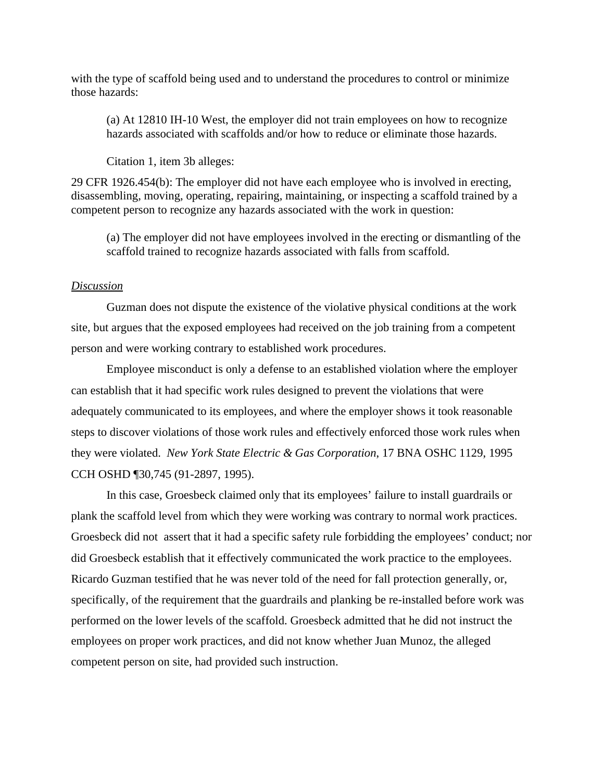with the type of scaffold being used and to understand the procedures to control or minimize those hazards:

(a) At 12810 IH-10 West, the employer did not train employees on how to recognize hazards associated with scaffolds and/or how to reduce or eliminate those hazards.

Citation 1, item 3b alleges:

29 CFR 1926.454(b): The employer did not have each employee who is involved in erecting, disassembling, moving, operating, repairing, maintaining, or inspecting a scaffold trained by a competent person to recognize any hazards associated with the work in question:

(a) The employer did not have employees involved in the erecting or dismantling of the scaffold trained to recognize hazards associated with falls from scaffold.

#### *Discussion*

Guzman does not dispute the existence of the violative physical conditions at the work site, but argues that the exposed employees had received on the job training from a competent person and were working contrary to established work procedures.

Employee misconduct is only a defense to an established violation where the employer can establish that it had specific work rules designed to prevent the violations that were adequately communicated to its employees, and where the employer shows it took reasonable steps to discover violations of those work rules and effectively enforced those work rules when they were violated. *New York State Electric & Gas Corporation*, 17 BNA OSHC 1129, 1995 CCH OSHD ¶30,745 (91-2897, 1995).

In this case, Groesbeck claimed only that its employees' failure to install guardrails or plank the scaffold level from which they were working was contrary to normal work practices. Groesbeck did not assert that it had a specific safety rule forbidding the employees' conduct; nor did Groesbeck establish that it effectively communicated the work practice to the employees. Ricardo Guzman testified that he was never told of the need for fall protection generally, or, specifically, of the requirement that the guardrails and planking be re-installed before work was performed on the lower levels of the scaffold. Groesbeck admitted that he did not instruct the employees on proper work practices, and did not know whether Juan Munoz, the alleged competent person on site, had provided such instruction.